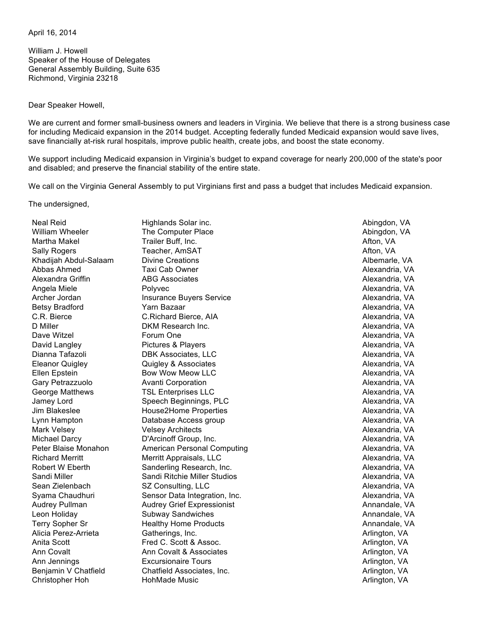April 16, 2014

William J. Howell Speaker of the House of Delegates General Assembly Building, Suite 635 Richmond, Virginia 23218

Dear Speaker Howell,

We are current and former small-business owners and leaders in Virginia. We believe that there is a strong business case for including Medicaid expansion in the 2014 budget. Accepting federally funded Medicaid expansion would save lives, save financially at-risk rural hospitals, improve public health, create jobs, and boost the state economy.

We support including Medicaid expansion in Virginia's budget to expand coverage for nearly 200,000 of the state's poor and disabled; and preserve the financial stability of the entire state.

We call on the Virginia General Assembly to put Virginians first and pass a budget that includes Medicaid expansion.

The undersigned,

Neal Reid **Neal Reid Communist Communist Highlands Solar inc.** Abington, Manual Reid Abingdon, VA Christopher Hoh **HohMade Music** Arlington, VA **Arlington, VA** 

William Wheeler **The Computer Place** Abingdon, VA Abingdon, VA Martha Makel **Trailer Buff, Inc.** Afton, VA Afton, VA Afton, VA Sally Rogers **Teacher, AmSAT** Afton, VA and Afton, VA and Afton, VA and Afton, VA Khadijah Abdul-Salaam Divine Creations **Albemarle, VA** Abbas Ahmed **Taxi Cab Owner** Alexandria, VA Alexandria, VA Alexandra Griffin ABG Associates Alexandria, VA Angela Miele **Alexandria, VA** Polyvec **Alexandria, VA Polyvec** Alexandria, VA Polyvec Archer Jordan **Insurance Buyers Service** Alexandria, VA Alexandria, VA Betsy Bradford **Matter Community Community** Yarn Bazaar Alexandria, VA Alexandria, VA C.R. Bierce **C.Richard Bierce, AIA** Alexandria, VA D Miller **Communist CONTEX CONTEX DESCRIPTION** DESCRIPTION DESCRIPTION DESCRIPTION Alexandria, VA Dave Witzel **Example 20** Forum One Alexandria, VA Alexandria, VA David Langley **Pictures & Players** Alexandria, VA Alexandria, VA Dianna Tafazoli **DBK Associates, LLC** Alexandria, VA Eleanor Quigley **Alexandria, VA** Quigley & Associates Alexandria, VA Alexandria, VA Ellen Epstein **Bow Wow Meow LLC Ellen Example 2018** Alexandria, VA Gary Petrazzuolo Avanti Corporation Alexandria, VA George Matthews **TSL Enterprises LLC CONSIDENT Alexandria, VA** Jamey Lord **Speech Beginnings, PLC** Alexandria, VA Jim Blakeslee **House2Home Properties** Alexandria, VA Lynn Hampton **Calculation** Database Access group Communication Controllery Alexandria, VA Mark Velsey **Mark Velsey Architects** Alexandria, VA Alexandria, VA Michael Darcy **Communist Communist Communist Communist Communist Communist Communist Communist Communist Communist Communist Communist Communist Communist Communist Communist Communist Communist Communist Communist Communi** Peter Blaise Monahon American Personal Computing Theorem Alexandria, VA Richard Merritt Merritt Appraisals, LLC **Alexandria, VA** Robert W Eberth Sanderling Research, Inc. **Alexandria, VA** Alexandria, VA Sandi Miller **Sandi Ritchie Miller Studios** Canadi Alexandria, VA Sean Zielenbach SZ Consulting, LLC **SEALET Alexandria, VA** Syama Chaudhuri Sensor Data Integration, Inc. **Alexandria, VA** Alexandria, VA Audrey Pullman **Audrey Grief Expressionist** Annual Annandale, VA Leon Holiday **Subway Sandwiches** Annandale, VA Annandale, VA Terry Sopher Sr **Healthy Home Products** Annandale, VA Annandale, VA Alicia Perez-Arrieta **Gatherings, Inc.** And Communication, VA and Catherings, Inc. Arlington, VA and Communication, VA Anita Scott **Fred C. Scott & Assoc.** Anita Scott Arlington, VA Ann Covalt **Ann Covalt & Associates** Ann Covalt **Ann** Covalt **Ann** Covalt **Ann** Covalt **Ann** Covalt **Ann** Covalt **Ann** Covalt **Ann** Covalt **Ann** Covalt **Ann** Covalt **Ann** Covalt **Ann** Covalt **Ann** Covalt **Ann** Covalt **Ann** Ann Jennings **Excursionaire Tours** Ann Jennings Arlington, VA Benjamin V Chatfield Chatfield Associates, Inc. Chatfield Associates, Inc. Arlington, VA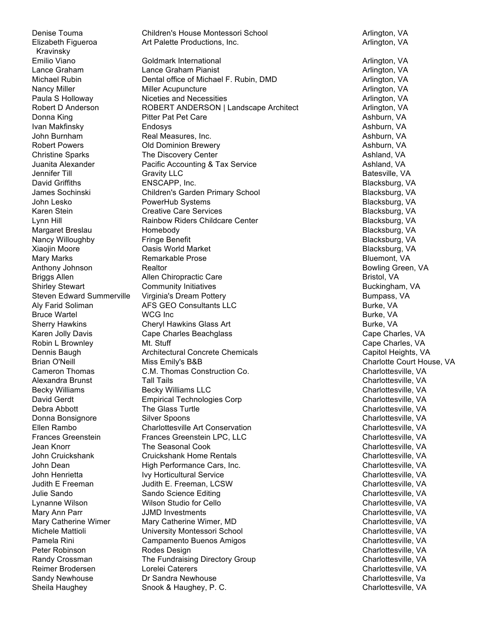Denise Touma **Children's House Montessori School** Arlington, VA Arlington, VA Elizabeth Figueroa Kravinsky

Art Palette Productions, Inc. **Arrival Archives** Arlington, VA Emilio Viano **Martington, VA Coldmark International** Arlington, VA Arlington, VA Lance Graham **Lance Graham Pianist** Arlington, VA Arlington, VA Michael Rubin **Dental office of Michael F. Rubin, DMD** Arlington, VA Nancy Miller **Miller Acupuncture** Arlington, VA Arlington, VA Arlington, VA Arlington, VA Arlington, VA Arlington, VA Paula S Holloway **Niceties and Necessities** Arlington, VA Arlington, VA Robert D Anderson **ROBERT ANDERSON | Landscape Architect** Arlington, VA Donna King **Pitter Pat Pet Care Property Pitter Pat Pet Care Property Property Property Property Property Property Property Property Property Property Property Property Property Property P** Ivan Makfinsky Endosys Ashburn, VA John Burnham Real Measures, Inc. Ashburn, VA Robert Powers **COLO Dominion Brewery Ashburn, VA** Ashburn, VA Christine Sparks **The Discovery Center** Ashland, VA Ashland, VA Ashland, VA Juanita Alexander **Pacific Accounting & Tax Service** Ashland, VA Ashland, VA Jennifer Till Gravity LLC Batesville, VA David Griffiths **ENSCAPP, Inc.** ENSEARP **ENSCAPP, Inc.** Blacksburg, VA James Sochinski Children's Garden Primary School Blacksburg, VA John Lesko **PowerHub Systems** Blacksburg, VA Karen Stein **Karen Stein Creative Care Services** Blacksburg, VA Blacksburg, VA Lynn Hill **Example 2018** Rainbow Riders Childcare Center **Research 2018** Blacksburg, VA Margaret Breslau **Homebody Blacksburg, VA** Nancy Willoughby **Fringe Benefit** Blacksburg, VA and Blacksburg, VA Xiaojin Moore Oasis World Market Blacksburg, VA Mary Marks **Remarkable Prose Remarkable Prose Bluemont, VA** Anthony Johnson **Realtor** Bowling Green, VA Briggs Allen Allen Chiropractic Care **Bristol, VA** Shirley Stewart **Community Initiatives** Buckingham, VA Buckingham, VA Steven Edward Summerville Virginia's Dream Pottery **Bumpass, VA** Bumpass, VA Aly Farid Soliman **AFS GEO Consultants LLC All and Soliman Burke, VA** Burke, VA Bruce Wartel **Example 20** WCG Inc Burke, VA and Burke, VA and Burke, VA and Burke, VA Sherry Hawkins **Cheryl Hawkins Glass Art Cheryl Hawkins Glass Art** Burke, VA Karen Jolly Davis **Cape Charles Beachglass** Cape Charles, VA Robin L Brownley **Mt.** Stuff Cape Charles, VA Dennis Baugh **Architectural Concrete Chemicals** Capitol Heights, VA Capitol Heights, VA Brian O'Neill **Miss Emily's B&B** Charlotte Court House, VA Cameron Thomas C.M. Thomas Construction Co. The Construction Co. Charlottesville, VA Alexandra Brunst Tall Tails Charlottesville, VA Becky Williams **Becky Williams LLC** Charlottesville, VA David Gerdt **Empirical Technologies Corp** Charlottesville, VA Debra Abbott **The Glass Turtle Charlottesville, VA** Charlottesville, VA Donna Bonsignore Silver Spoons Charlottesville, VA Ellen Rambo Charlottesville Art Conservation Charlottesville, VA Frances Greenstein Frances Greenstein LPC, LLC Charlottesville, VA Jean Knorr **The Seasonal Cook** Charlottesville, VA Charlottesville, VA John Cruickshank Cruickshank Home Rentals Charlottesville, VA John Dean **High Performance Cars, Inc.** Charlottesville, VA Charlottesville, VA John Henrietta **IVY Horticultural Service** Charlottesville, VA Charlottesville, VA Judith E Freeman Judith E. Freeman, LCSW Charlottesville, VA Julie Sando Sando Science Editing Charlottesville, VA Lynanne Wilson Wilson Studio for Cello Charlottesville, VA Mary Ann Parr **Marting Community** JJMD Investments **Charlottesville, VA** Charlottesville, VA Mary Catherine Wimer Mary Catherine Wimer, MD Charlottesville, VA Michele Mattioli **Michele Mattioli** University Montessori School **Charlottesville, VA** Pamela Rini Campamento Buenos Amigos Charlottesville, VA Peter Robinson **Rodes Design Charlottesville, VA** Charlottesville, VA Randy Crossman The Fundraising Directory Group Charlottesville, VA Charlottesville, VA Reimer Brodersen Lorelei Caterers Charlottesville, VA Sandy Newhouse **Sandra Newhouse** Dr Sandra Newhouse Charlottesville, Va Sheila Haughey **Shook & Haughey, P. C.** Charlottesville, VA Charlottesville, VA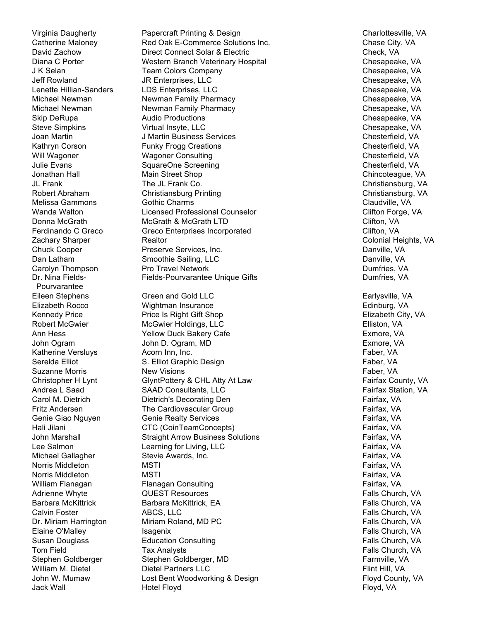Catherine Maloney Lenette Hillian-Sanders Dr. Nina Fields-Pourvarantee

Virginia Daugherty **Papercraft Printing & Design Charlottesville, VA** Charlottesville, VA Red Oak E-Commerce Solutions Inc. The Chase City, VA David Zachow **Direct Connect Solar & Electric** Connect Solar A Electric Check, VA<br>Diana C Porter **Check, VA** Western Branch Veterinary Hospital Chesapeak Western Branch Veterinary Hospital Chesapeake, VA J K Selan Team Colors Company Chesapeake, VA Jeff Rowland **Solution State State State State State State State State State Chesapeake, VA** LDS Enterprises, LLC and Chesapeake, VA Michael Newman Newman Family Pharmacy Chesapeake, VA Michael Newman Newman Family Pharmacy Chesapeake, VA Skip DeRupa **Audio Productions** Chesapeake, VA Steve Simpkins **Steve Simpkins** Virtual Insyte, LLC Chesapeake, VA Joan Martin Chesterfield, VA Julies J. Martin Business Services Chester Chester Chesterfield, VA Kathryn Corson **Funky Frogg Creations** Chesterfield, VA Chesterfield, VA Will Wagoner **Consulting Chesterfield, VA** Chesterfield, VA Chesterfield, VA Julie Evans **SquareOne Screening Chesterfield, VA** Chesterfield, VA Jonathan Hall **Main Street Shop** Chincoteague, VA JL Frank The JL Frank Co. Christiansburg, VA Robert Abraham Christiansburg Printing Christiansburg Christiansburg, VA Melissa Gammons Gothic Charms Claudville, VA Wanda Walton **Communist Clifton Licensed Professional Counselor** Clifton Forge, VA Donna McGrath **McGrath & McGrath LTD** Clifton, VA Ferdinando C Greco Creco Greco Enterprises Incorporated Clifton, VA Clifton, VA Zachary Sharper **Realtor** Realtor Colonial Heights, VA Chuck Cooper **Preserve Services, Inc.** Danville, VA Chuck Cooper **Danville, VA** Dan Latham Smoothie Sailing, LLC Dan Latham Danville, VA Carolyn Thompson **Pro Travel Network Pro Travel Network Pro Account Pro Account Pro Account Pro Account Pro Account Pro Account Pro Account Pro Account Pro Account Pro Account Pro Account Pro Account Pro Account Pro Ac** Fields-Pourvarantee Unique Gifts **Dumfries**, VA Eileen Stephens Green and Gold LLC Earlysville, VA Elizabeth Rocco **Mightman Insurance** Edinburg, VA Edinburg, VA Kennedy Price **Price Is Right Gift Shop Elizabeth City, VA** Elizabeth City, VA Robert McGwier **McGwier McGwier Holdings, LLC Communist Club Elliston, VA** Ann Hess **The Community Cannon Care Exmore, VA** Exmore, VA John Ogram John D. Ogram, MD Exmore, VA Katherine Versluys **Acorn Inn, Inc.** Acorn Inn, Inc. Acorn Inn, Inc. **Faber, VA** Serelda Elliot **S. Elliot Graphic Design Faber, VA** Suzanne Morris **New Visions New Youther Community** Faber, VA Christopher H Lynt GlyntPottery & CHL Atty At Law Fairfax County, VA Andrea L Saad SAAD Consultants, LLC Fairfax Station, VA Carol M. Dietrich Dietrich's Decorating Den Fairfax, VA Fritz Andersen The Cardiovascular Group The Cardiovascular Group Tairfax, VA Genie Giao Nguyen Genie Realty Services Fairfax, VA Hali Jilani CTC (CoinTeamConcepts) Fairfax, VA John Marshall **Straight Arrow Business Solutions** Fairfax, VA Lee Salmon **Learning for Living, LLC** The Salmon **Container Container Container Container** Container Container Container Container Container Container Container Container Container Container Container Container Container C Michael Gallagher Stevie Awards, Inc. The Stevie Awards of the Stevie Awards, Inc. The Stevie Awards of the Stevie Awards, Inc. Norris Middleton **MSTI** MSTI **MSTI MSTI MSTI Fairfax, VA** Norris Middleton **MSTI** MSTI **MSTI MSTI MSTI Fairfax, VA** William Flanagan **Flanagan Consulting Fairfax, CA** Fairfax, VA Adrienne Whyte **All Account COVEST Resources** Falls Church, VA and Tails Church, VA Barbara McKittrick **Barbara McKittrick, EA** Falls Church, VA Calvin Foster **ABCS, LLC ABCS, ACC ABCS, ACC ABCS, ACC ACC EXECUTE: ABCS, ACC ACC EXECUTE: ACC EXECUTE: EXECUTE: ACC EXECUTE: EXECUTE: EXECUTE: EXECUTE: EXECUTE: EXECUTE: EXECUTE: EX** Dr. Miriam Harrington Miriam Roland, MD PC Falls Church, VA Elaine O'Malley **Isagenix** Isagenix **Falls Church, VA** Falls Church, VA Susan Douglass **Education Consulting Falls Church, Consulting Falls Church, VA** Tom Field **Tax Analysts** Tax Analysts **Falls Church, VA** Stephen Goldberger **Stephen Goldberger, MD** Farmville, VA William M. Dietel **Dietel Partners LLC** Flint Hill, VA John W. Mumaw **Lost Bent Woodworking & Design** Floyd County, VA Jack Wall Hotel Floyd Floyd, VA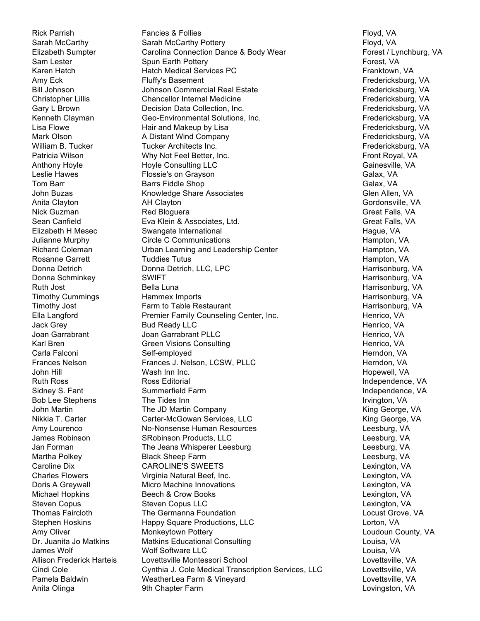Rick Parrish Fancies & Follies Follies Formulation of Floyd, VA Sarah McCarthy **Sarah McCarthy Pottery Flow According Sarah McCarthy Pottery** Floyd, VA Elizabeth Sumpter Carolina Connection Dance & Body Wear Forest / Lynchburg, VA Sam Lester Spun Earth Pottery **Symbols** Spun Earth Pottery Forest, VA Karen Hatch **Hatch Medical Services PC** Franktown, VA Amy Eck Fluffy's Basement Fluit Containers Fredericksburg, VA Bill Johnson **Markon Commercial Real Estate** Fredericksburg, VA and Tredericksburg, VA Christopher Lillis Chancellor Internal Medicine Fredericksburg, VA Chancellor Internal Medicine Gary L Brown **Decision Data Collection, Inc.** The Connection of Tredericksburg, VA Kenneth Clayman Geo-Environmental Solutions, Inc. The Connect Redericksburg, VA Lisa Flowe **Fredericksburg, VA** Hair and Makeup by Lisa Fredericksburg, VA **Fredericksburg**, VA Mark Olson **A Distant Wind Company Company Fredericksburg**, VA **Fredericksburg**, VA William B. Tucker **Tucker Architects Inc.** The Communist Communist Communist Communist Communist Communist Communist Communist Communist Communist Communist Communist Communist Communist Communist Communist Communist Commu Patricia Wilson **Matricia Wilson Why Not Feel Better, Inc.** Front Royal, VA **Front Royal**, VA Anthony Hoyle **Hoyle Consulting LLC** Anthony Hoyle Consulting LLC Leslie Hawes **Flossie's on Grayson** Galax, VA Galax, VA Tom Barr Galax, VA Galax, VA Barrs Fiddle Shop Galax, VA Galax, VA Galax, VA Galax, VA John Buzas **Share Associates** Glen Allen, VA Glen Allen, VA Anita Clayton **AH Clayton AH Clayton AH Clayton Gordonsville, VA** Nick Guzman Red Bloguera Great Falls, VA Sean Canfield **Eva Klein & Associates, Ltd.** Great Falls, VA Elizabeth H Mesec Swangate International **Elizabeth H Mesec** Hague, VA Julianne Murphy **Circle C Communications** And Museum Hampton, VA Richard Coleman **Example 2** Urban Learning and Leadership Center **Hampton, VA** Hampton, VA Rosanne Garrett **Tuddies Tutus Hampton, VA** Hampton, VA Donna Detrich **Donna Detrich, LLC, LPC** Donna Detrich, LLC, LPC Harrisonburg, VA Donna Schminkey SWIFT **SWIFT** SWIFT And the SWIFT Annual Schminkey SWIFT Annual Schminkey SWIFT Annual Schminkey Ruth Jost **Bella Luna** Harrisonburg, VA Timothy Cummings **Hammex Imports** Hammex Harrisonburg, VA Timothy Jost **Farm to Table Restaurant Farm to Table Restaurant Harrisonburg**, VA Ella Langford **Premier Family Counseling Center, Inc.** Henrico, VA Henrico, VA Jack Grey Bud Ready LLC Henrico, VA Joan Garrabrant Manuel Joan Garrabrant PLLC **Annuel Accord Foundation Contract Contract Contract Contract Contract Contract Contract Contract Contract Contract Contract Contract Contract Contract Contract Contract Contract** Karl Bren Green Visions Consulting The Consulting Henrico, VA Carla Falconi Self-employed Herndon, VA Frances Nelson **Frances J. Nelson, LCSW, PLLC** Herndon, VA John Hill **Wash Inn Inc.** The Communist Communist Communist Communist Communist Communist Communist Communist Communist Communist Communist Communist Communist Communist Communist Communist Communist Communist Communist Co Ruth Ross **Ross Editorial Independence, VA** Ross Editorial **Independence, VA** Sidney S. Fant Summerfield Farm Summerfield Farm Independence, VA Bob Lee Stephens The Tides Inn Irvington, VA and Irvington, VA and Irvington, VA John Martin **The JD Martin Company** The JD Martin Company The Trustees Article Ridge George, VA Nikkia T. Carter **Carter-McGowan Services, LLC** Carter-McGowan Services, LLC Amy Lourenco **No-Nonsense Human Resources** Mo-Nonsense Human Resources Leesburg, VA James Robinson **SRobinson Products, LLC** Leesburg, VA Jan Forman The Jeans Whisperer Leesburg Leesburg Leesburg, VA Martha Polkey **Black Sheep Farm** Communication of the Sheep Farm Communication of the Sheep Farm Communication of the Leesburg, VA Caroline Dix **CAROLINE'S SWEETS** CAROLINE'S AND THE CONSTRUCT CONSTRUCT CONSTRUCTS Charles Flowers Virginia Natural Beef, Inc. Lexington, VA Doris A Greywall **Micro Machine Innovations** Lexington, VA Lexington, VA Michael Hopkins **Beech & Crow Books** Lexington, VA Steven Copus **Steven Copus LLC** Lexington, VA Lexington, VA Lexington, VA Lexington, VA Lexington, VA Lexington, VA Thomas Faircloth The Germanna Foundation The Counter the Locust Grove, VA Stephen Hoskins **Happy Square Productions, LLC** Corton, VA Amy Oliver **Monkeytown Pottery Monkeytown Pottery County, VA** Dr. Juanita Jo Matkins Matkins Educational Consulting Consulting Louisa, VA James Wolf Wolf Software LLC Louisa, VA Allison Frederick Harteis Lovettsville Montessori School November 2014 Lovettsville, VA Cindi Cole Cynthia J. Cole Medical Transcription Services, LLC Lovettsville, VA Pamela Baldwin **Communist Constructs WeatherLea Farm & Vineyard Communist Constructsville, VA** Anita Olinga **9th Chapter Farm Community Community** Lovingston, VA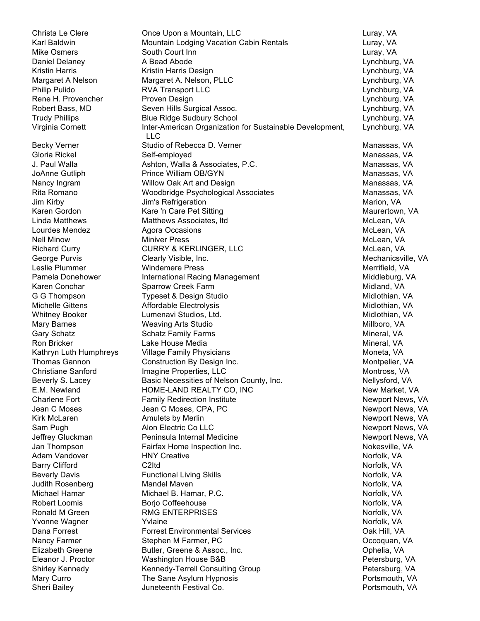Christa Le Clere **Christa Le Clere** Once Upon a Mountain, LLC **Christa Luray, VA** Karl Baldwin **Mountain Lodging Vacation Cabin Rentals** Luray, VA Mike Osmers **South Court Inn South Court Inn South Court Inn Luray, VA** Daniel Delaney **A Bead Abode Contract A Bead Abode** Lynchburg, VA Kristin Harris **Kristin Harris Design** Lynchburg, VA Margaret A Nelson Margaret A. Nelson, PLLC Lynchburg, VA Philip Pulido RVA Transport LLC Lynchburg, VA Rene H. Provencher **Proven Design Lynchburg, VA** Lynchburg, VA Robert Bass, MD Seven Hills Surgical Assoc. Communications of the Uynchburg, VA Trudy Phillips Blue Ridge Sudbury School Lynchburg, VA Virginia Cornett **Inter-American Organization for Sustainable Development**, LLC Becky Verner **Studio of Rebecca D. Verner** Manassas, VA Manassas, VA Gloria Rickel Self-employed **Self-employed** Self-employed Self-employed Self-employed Self-employed Self-employed J. Paul Walla **Ashton, Walla & Associates, P.C.** Manassas, VA JoAnne Gutliph **Prince William OB/GYN** Manassas, VA Nancy Ingram **Millow Oak Art and Design** Manassas, VA Manassas, VA Rita Romano **Moodbridge Psychological Associates** Manassas, VA Jim Kirby **Marion, VA** Jim's Refrigeration **Marion** Marion, VA Karen Gordon **Kare 'n Care Pet Sitting Maurertown, Naturertown**, VA Linda Matthews **Matthews Associates, Itd** McLean, VA McLean, VA Lourdes Mendez **Agora Occasions** McLean, VA and McLean, VA Nell Minow **Miniver Press** Molecules And McLean, VA Richard Curry **CURRY & KERLINGER, LLC** McLean, VA George Purvis Clearly Visible, Inc. Clearly Visible, Inc. Clearly Visible, Inc. Mechanicsville, VA Leslie Plummer **Mitter Community Community** Windemere Press **Merrifield, VA** Pamela Donehower **International Racing Management** Network and Middleburg, VA Karen Conchar **Sparrow Creek Farm** Midland, VA Midland, VA G G Thompson Typeset & Design Studio Communication Midlothian, VA Michelle Gittens **Affordable Electrolysis** Michelle Midlothian, VA Whitney Booker **Lumenavi Studios, Ltd.** Midlothian, VA Midlothian, VA Mary Barnes **Mary Barnes Millboro, VA** Weaving Arts Studio Mary Mary Millboro, VA Gary Schatz **Schatz Family Farms** Mineral, VA Mineral, VA Ron Bricker **National Clubse** Lake House Media Mineral, WA Mineral, VA Kathryn Luth Humphreys Village Family Physicians Moneta, WA Moneta, VA Thomas Gannon Construction By Design Inc. Thomas Gannon Montpelier, VA Christiane Sanford **Imagine Properties, LLC** Montross, VA Beverly S. Lacey **Basic Necessities of Nelson County, Inc.** Nellysford, VA E.M. Newland **HOME-LAND REALTY CO, INC** New Market, VA Charlene Fort **Family Redirection Institute** And Mewport News, VA Charlene Fort Annual Mews, VA Jean C Moses Jean C Moses, CPA, PC Newport News, VA Kirk McLaren **Amulets by Merlin** Newport News, VA Newport News, VA Sam Pugh **Alon Electric Co LLC** Newport News, VA Jeffrey Gluckman **Peninsula Internal Medicine** News, VA Newport News, VA Jan Thompson **Fairfax Home Inspection Inc.** Nokesville, VA Nokesville, VA Adam Vandover **HNY Creative Nortogy Adam Vandover** Norfolk, VA Barry Clifford **C2Itd** C2Itd C2Itd **Norfolk, VA** Beverly Davis **Example 2** Functional Living Skills Norfolk, Network, Norfolk, VA Judith Rosenberg Nameter Mandel Maven Norfolk, VA Norfolk, VA Michael Hamar **Michael B. Hamar, P.C.** Norfolk, VA Norfolk, VA Robert Loomis **Borgo Coffeehouse** Norfolk, VA Ronald M Green **RMG ENTERPRISES** Norfolk, VA Yvonne Wagner Norfolk, Valiane Norfolk, Valiane Norfolk, Valiane Norfolk, Valiane Norfolk, Valiane Norfolk, Va Dana Forrest **Forrest Environmental Services** Cases Cak Hill, VA Nancy Farmer Stephen M Farmer, PC Nancy Farmer, Occoquan, VA Elizabeth Greene **Butler, Greene & Assoc., Inc.** Communication of the Superior of Pulla, VA Eleanor J. Proctor Washington House B&B Petersburg, VA Shirley Kennedy **Shirley Kennedy-Terrell Consulting Group Petersburg, VA** Mary Curro **The Sane Asylum Hypnosis Portsmouth, VA** Sheri Bailey **Sheri Bailey** Juneteenth Festival Co. **Portsmouth, VA** Portsmouth, VA

Lynchburg, VA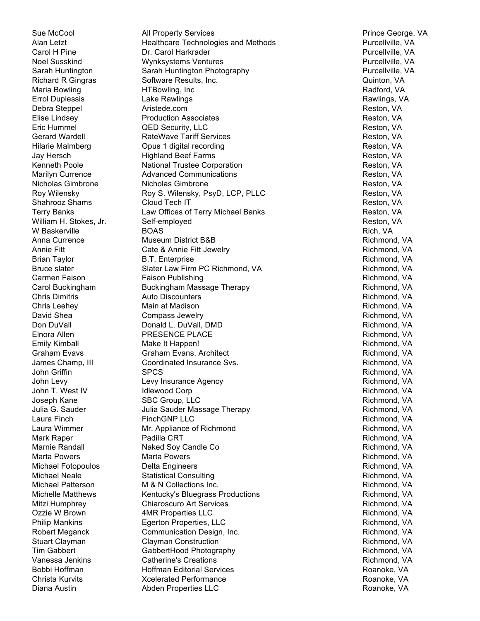William H. Stokes, Jr. Self-emploved

Sue McCool **All Property Services** And All Property Services **Prince George, VA** Alan Letzt **Example 2** Healthcare Technologies and Methods **Purcellville, VA** Carol H Pine **Purcellville, VA Carol Harkrader** Purcellville, VA Purcellville, VA Noel Susskind Wynksystems Ventures Purcellville, VA Sarah Huntington Sarah Huntington Photography Purcellville, VA Richard R Gingras Software Results, Inc. Communication of the Cuinton, VA Maria Bowling **Maria Bowling HTBowling, Inc Radford, VA** Radford, VA Errol Duplessis **Lake Rawlings** Communication Communication Communication Communication Communication Communication Debra Steppel **Aristede.com And Aristede.com Reston, VA** Elise Lindsey **Reston, VA Construction Associates** Reston, VA Reston, VA Reston, VA Eric Hummel **Example 3 COVER COVER SECURITY**, LLC **COVER SECURITY** Reston, VA Gerard Wardell **RateWave Tariff Services Reston, VA** Reston, VA Hilarie Malmberg **Community** Opus 1 digital recording Theorem Assembly Reston, VA Jay Hersch **Highland Beef Farms** Reston, VA Kenneth Poole **National Trustee Corporation National Trustee Corporation Reston, VA** Marilyn Currence **Advanced Communications** Advanced Communications **Reston, VA** Nicholas Gimbrone **Nicholas Gimbrone Nicholas Gimbrone** Reston, VA Roy Wilensky **Roy S. Wilensky, PsyD, LCP, PLLC** Reston, VA Shahrooz Shams Cloud Tech IT **Reston, VA** Reston, VA Terry Banks **Example 2** Law Offices of Terry Michael Banks **Reston, VA** Reston, VA W Baskerville BOAS Rich, VA Anna Currence **Museum District B&B** Richmond, VA Richmond, VA Annie Fitt **Cate & Annie Fitt Jewelry Richmond, VA** Richmond, VA Brian Taylor **B.T. Enterprise** Richmond, VA Richmond, VA Bruce slater The Slater Law Firm PC Richmond, VA Richmond, VA Richmond, VA Carmen Faison **Faison Publishing Richmond, VA** Richmond, VA Carol Buckingham Buckingham Massage Therapy **Richmond, Carol Buckingham Massage Therapy** Richmond, VA Chris Dimitris **Auto Discounters** Auto Discounters **Richmond, VA** Chris Leehey **Main at Madison Chris Leehey** Richmond, VA David Shea Compass Jewelry **Compass Jewelry Company** Richmond, VA Don DuVall **Donald L. DuVall, DMD Example 20** Richmond, VA Elnora Allen **Richmond, VA CONTACT PRESENCE PLACE Richmond, PRESENCE PLACE Richmond, VA** Emily Kimball **Make It Happen!** And the state of the School Association of the School Association of the School A Graham Evavs Graham Evans. Architect **Graham Evaves Communist Communist Communist Communist Communist Communist Communist Communist Communist Communist Communist Communist Communist Communist Communist Communist Communist** James Champ, III Coordinated Insurance Svs. The Coordinated Insurance Svs. The Richmond, VA John Griffin SPCS Richmond, VA John Levy **Levy Insurance Agency Richmond, VA** Richmond, VA John T. West IV Government Corp and Idlewood Corp and The Corp Richmond, VA Joseph Kane SBC Group, LLC Sexteen SBC Group, LLC Julia G. Sauder **Sauder Steite Steite Steite Steite Steite Steite Steite Steite Green** Richmond, VA Laura Finch FinchGNP LLC **FinchGNP LLC** Richmond, VA Laura Wimmer **Mr.** Appliance of Richmond **Example 20** Richmond, VA Mark Raper **Rapid CRT** Richmond, VA Richmond, VA Marnie Randall **Naked Soy Candle Co Naked Soy Candle Co** Richmond, VA Marta Powers **Marta Powers Marta Powers Marta Powers Richmond, VA** Michael Fotopoulos **Delta Engineers Richmond, VA** Richmond, VA Michael Neale **Statistical Consulting Consulting Richmond**, VA Richmond, VA Michael Patterson **M** & N Collections Inc. **Richmond, VA** Richmond, VA Michelle Matthews **Kentucky's Bluegrass Productions** Michelle Matthews Richmond, VA Mitzi Humphrey **Chiaroscuro Art Services Richmond, VA** Richmond, VA Ozzie W Brown **4MR Properties LLC And Access 19 All Access 19 All Access 19 All Access 19 All Access 19 All Access 19 All Access 19 All Access 19 All Access 19 All Access 19 All Access 19 All Access 19 All Access 19 All** Philip Mankins **Egerton Properties, LLC Example 20** Richmond, VA Robert Meganck Communication Design, Inc. Communication Design, Inc. Richmond, VA Stuart Clayman **Clayman Construction Construction Richmond, VA** Richmond, VA Tim Gabbert **GabbertHood Photography Community** Richmond, VA Vanessa Jenkins **Catherine's Creations Catherine's** Creations **Richmond, VA** Bobbi Hoffman **Markov Hoffman Editorial Services** And Markov Roanoke, VA Christa Kurvits **Christa Kurvits** Xcelerated Performance **Roanoke, VA** Roanoke, VA Diana Austin Abden Properties LLC Roanoke, VA

Reston, VA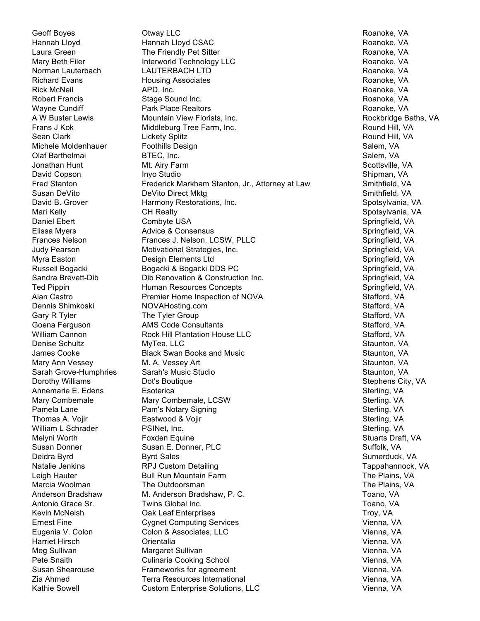Geoff Boyes **Otway LLC CONGER AND ROANOKE, VA** Roanoke, VA Hannah Lloyd Hannah Lloyd CSAC Roanoke, VA Laura Green **The Friendly Pet Sitter Access** Connected Access Roanoke, VA Mary Beth Filer **Interworld Technology LLC Interworld Technology LLC** Roanoke, VA Norman Lauterbach CAUTERBACH LTD CONTERENT CHAUTER AND ROANOKE, VA Richard Evans **Richard Evans** Housing Associates **Richard Evans** Roanoke, VA Rick McNeil **APD, Inc.** APD, Inc. **Roanoke, VA** Robert Francis **Stage Sound Inc.** Roanoke, VA Roanoke, VA Wayne Cundiff **Park Place Realtors Park Place Realtors Roanoke, VA** A W Buster Lewis **Mountain View Florists, Inc.** A W Buster Lewis Rockbridge Baths, VA Frans J Kok **Middleburg Tree Farm, Inc.** And The Sound Hill, VA Sean Clark **Round Hill, VA** Lickety Splitz **Round Hill, CA Lickety Splitz** Round Hill, VA Michele Moldenhauer **Foothills Design Salem, Salem, VA** Salem, VA Olaf Barthelmai **BTEC, Inc.** BTEC, Inc. Salem, VA Jonathan Hunt Miller Multimation of Multimation of Multimation Control of Scottsville, VA David Copson Inyo Studio Shipman, VA Fred Stanton **Frederick Markham Stanton, Jr., Attorney at Law** Smithfield, VA Susan DeVito **DeVito Direct Mktg** Smithfield, VA Smithfield, VA David B. Grover **Harmony Restorations, Inc.** New York Spotsylvania, VA Mari Kelly **Spotsylvania, VA** CH Realty **CH Realty** Spotsylvania, VA Spotsylvania, VA Daniel Ebert Combyte USA Springfield, VA Elissa Myers **Advice & Consensus** Springfield, VA Springfield, VA Springfield, VA Frances Nelson **Frances J. Nelson, LCSW, PLLC** Research Springfield, VA Judy Pearson Motivational Strategies, Inc. Springfield, VA Myra Easton **Supering Community Community** Design Elements Ltd Springfield, VA Springfield, VA Russell Bogacki Bogacki & Bogacki DDS PC Springfield, VA Sandra Brevett-Dib **Dib Renovation & Construction Inc.** Springfield, VA Ted Pippin **Subset Concept Human Resources Concepts** Springfield, VA Springfield, VA Alan Castro **Premier Home Inspection of NOVA** Stafford, VA Dennis Shimkoski NOVAHosting.com **Stafford, VA** Stafford, VA Gary R Tyler The Tyler Group State Control of Stafford, VA Goena Ferguson **Stafford**, MIS Code Consultants State Consultants Stafford, VA William Cannon **Rock Hill Plantation House LLC Rock Hill Plantation House LLC** Stafford, VA Denise Schultz MyTea, LLC Staunton, VA James Cooke **Staunton**, VA Black Swan Books and Music Staunton, VA Staunton, VA Mary Ann Vessey **M. A. Vessey Art** Staunton, VA Sarah Grove-Humphries Sarah's Music Studio Staunton, VA Dorothy Williams **Dot's Boutique Community** Dote Boutique Stephens City, VA Annemarie E. Edens Esoterica **E. Executed E. Edens** Esoterica Mary Combemale **Mary Combemale, LCSW** Sterling, VA Pamela Lane **Pam's Notary Signing Stephen Sterling, VA** Sterling, VA Thomas A. Vojir **Eastwood & Vojir** Sterling, VA William L Schrader **PSINet, Inc.** Sterling, VA Sterling, VA Sterling, VA Sterling, VA Sterling, VA Sterling, VA Sterling, VA Sterling, VA Sterling, VA Sterling, VA Sterling, VA Sterling, VA Sterling, VA Sterling, VA Sterli Melyni Worth **Foxden Equine** Stuarts Draft, VA Stuarts Draft, VA Stuarts Draft, VA Susan Donner Susan E. Donner, PLC Susan E. Suffolk, VA Deidra Byrd Byrd Sales Sumerduck, VA Natalie Jenkins **RPJ Custom Detailing Tappahannock**, VA Tappahannock, VA Leigh Hauter **Solut Bull Run Mountain Farm** The Plains, VA and The Plains, VA Marcia Woolman The Outdoorsman The The The Plains, VA Anderson Bradshaw M. Anderson Bradshaw, P. C. Toano, VA Toano, VA Antonio Grace Sr. **Twins Global Inc.** The Communication of the Communication of Toano, VA Kevin McNeish **Oak Leaf Enterprises** Troy, VA Ernest Fine Computing Services Computing Services Computing Services Computing Services Computing Services Computing Services Computing Services Computing Services Computing Services Computing Services Computing Services C Eugenia V. Colon Colon & Associates, LLC Vienna, VA Harriet Hirsch Orientalia Vienna, VA Meg Sullivan National Margaret Sullivan Vienna, Vallim Vienna, VA Pete Snaith **Culinaria Cooking School** Vienna, VA Vienna, VA Susan Shearouse **Frameworks for agreement** Custom Communication Vienna, VA Zia Ahmed Terra Resources International Vienna, VA Kathie Sowell **Custom Enterprise Solutions, LLC** Vienna, VA